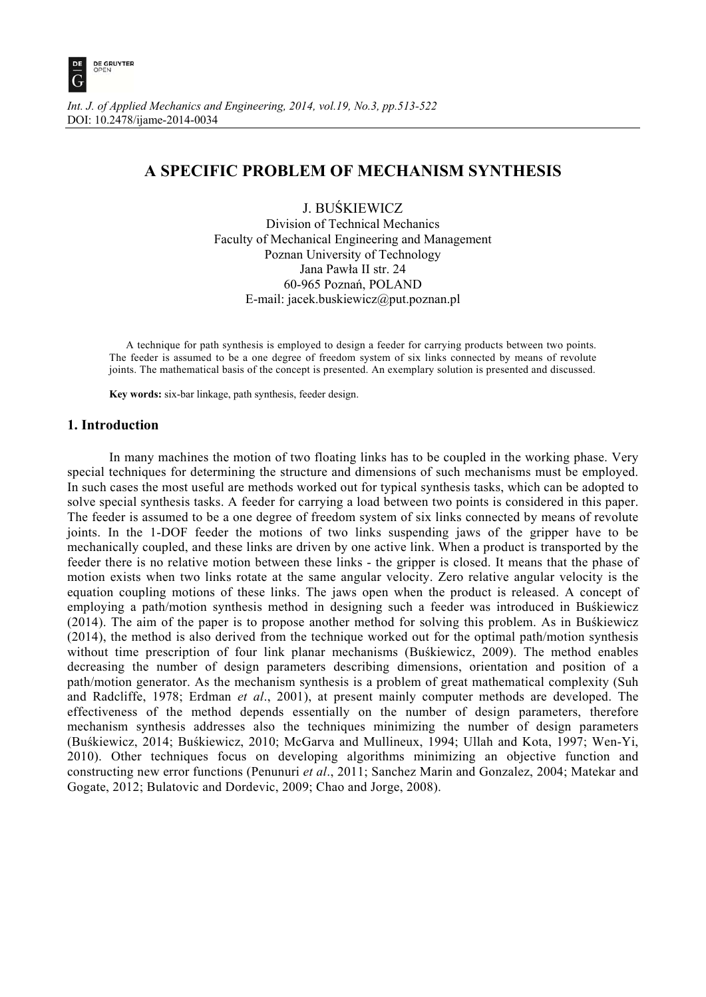

# **A SPECIFIC PROBLEM OF MECHANISM SYNTHESIS**

J. BUŚKIEWICZ

Division of Technical Mechanics Faculty of Mechanical Engineering and Management Poznan University of Technology Jana Pawła II str. 24 60-965 Poznań, POLAND E-mail: jacek.buskiewicz@put.poznan.pl

A technique for path synthesis is employed to design a feeder for carrying products between two points. The feeder is assumed to be a one degree of freedom system of six links connected by means of revolute joints. The mathematical basis of the concept is presented. An exemplary solution is presented and discussed.

 **Key words:** six-bar linkage, path synthesis, feeder design.

# **1. Introduction**

 In many machines the motion of two floating links has to be coupled in the working phase. Very special techniques for determining the structure and dimensions of such mechanisms must be employed. In such cases the most useful are methods worked out for typical synthesis tasks, which can be adopted to solve special synthesis tasks. A feeder for carrying a load between two points is considered in this paper. The feeder is assumed to be a one degree of freedom system of six links connected by means of revolute joints. In the 1-DOF feeder the motions of two links suspending jaws of the gripper have to be mechanically coupled, and these links are driven by one active link. When a product is transported by the feeder there is no relative motion between these links - the gripper is closed. It means that the phase of motion exists when two links rotate at the same angular velocity. Zero relative angular velocity is the equation coupling motions of these links. The jaws open when the product is released. A concept of employing a path/motion synthesis method in designing such a feeder was introduced in Buśkiewicz (2014). The aim of the paper is to propose another method for solving this problem. As in Buśkiewicz (2014), the method is also derived from the technique worked out for the optimal path/motion synthesis without time prescription of four link planar mechanisms (Buśkiewicz, 2009). The method enables decreasing the number of design parameters describing dimensions, orientation and position of a path/motion generator. As the mechanism synthesis is a problem of great mathematical complexity (Suh and Radcliffe, 1978; Erdman *et al*., 2001), at present mainly computer methods are developed. The effectiveness of the method depends essentially on the number of design parameters, therefore mechanism synthesis addresses also the techniques minimizing the number of design parameters (Buśkiewicz, 2014; Buśkiewicz, 2010; McGarva and Mullineux, 1994; Ullah and Kota, 1997; Wen-Yi, 2010). Other techniques focus on developing algorithms minimizing an objective function and constructing new error functions (Penunuri *et al*., 2011; Sanchez Marin and Gonzalez, 2004; Matekar and Gogate, 2012; Bulatovic and Dordevic, 2009; Chao and Jorge, 2008).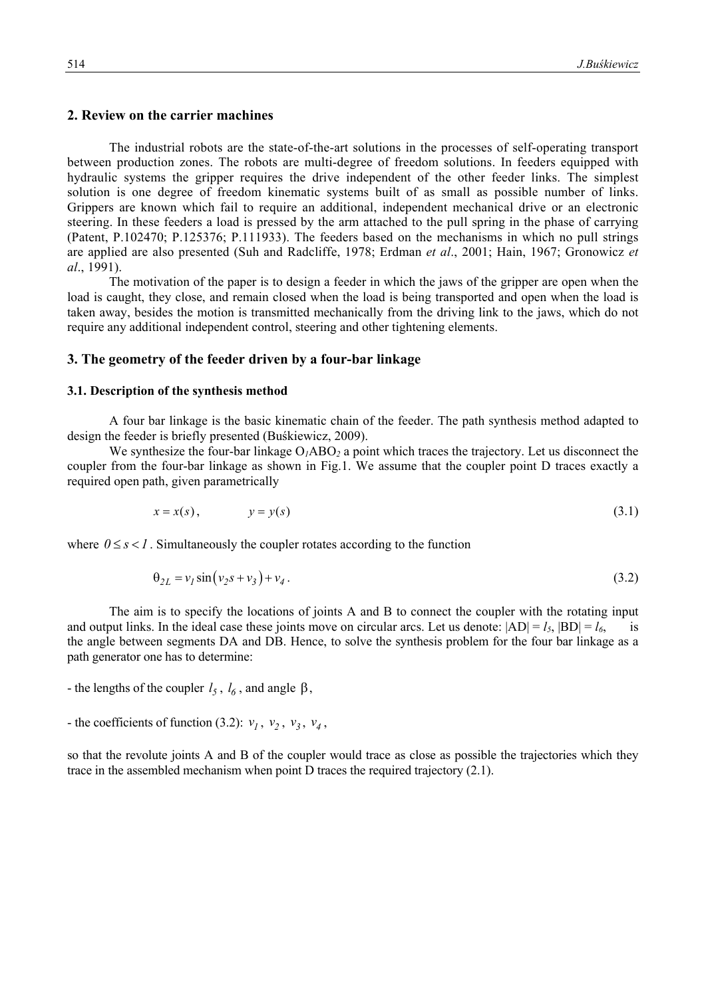## **2. Review on the carrier machines**

 The industrial robots are the state-of-the-art solutions in the processes of self-operating transport between production zones. The robots are multi-degree of freedom solutions. In feeders equipped with hydraulic systems the gripper requires the drive independent of the other feeder links. The simplest solution is one degree of freedom kinematic systems built of as small as possible number of links. Grippers are known which fail to require an additional, independent mechanical drive or an electronic steering. In these feeders a load is pressed by the arm attached to the pull spring in the phase of carrying (Patent, P.102470; P.125376; P.111933). The feeders based on the mechanisms in which no pull strings are applied are also presented (Suh and Radcliffe, 1978; Erdman *et al*., 2001; Hain, 1967; Gronowicz *et al*., 1991).

 The motivation of the paper is to design a feeder in which the jaws of the gripper are open when the load is caught, they close, and remain closed when the load is being transported and open when the load is taken away, besides the motion is transmitted mechanically from the driving link to the jaws, which do not require any additional independent control, steering and other tightening elements.

# **3. The geometry of the feeder driven by a four-bar linkage**

#### **3.1. Description of the synthesis method**

 A four bar linkage is the basic kinematic chain of the feeder. The path synthesis method adapted to design the feeder is briefly presented (Buśkiewicz, 2009).

We synthesize the four-bar linkage  $O<sub>1</sub>ABO<sub>2</sub>$  a point which traces the trajectory. Let us disconnect the coupler from the four-bar linkage as shown in Fig.1. We assume that the coupler point D traces exactly a required open path, given parametrically

$$
x = x(s), \qquad y = y(s) \tag{3.1}
$$

where  $0 \leq s \leq 1$ . Simultaneously the coupler rotates according to the function

$$
\theta_{2L} = v_1 \sin(v_2 s + v_3) + v_4. \tag{3.2}
$$

 The aim is to specify the locations of joints A and B to connect the coupler with the rotating input and output links. In the ideal case these joints move on circular arcs. Let us denote:  $|AD| = l_5$ ,  $|BD| = l_6$ , the angle between segments DA and DB. Hence, to solve the synthesis problem for the four bar linkage as a path generator one has to determine:

- the lengths of the coupler  $l_5$ ,  $l_6$ , and angle  $\beta$ ,

- the coefficients of function (3.2):  $v_1$ ,  $v_2$ ,  $v_3$ ,  $v_4$ ,

so that the revolute joints A and B of the coupler would trace as close as possible the trajectories which they trace in the assembled mechanism when point D traces the required trajectory (2.1).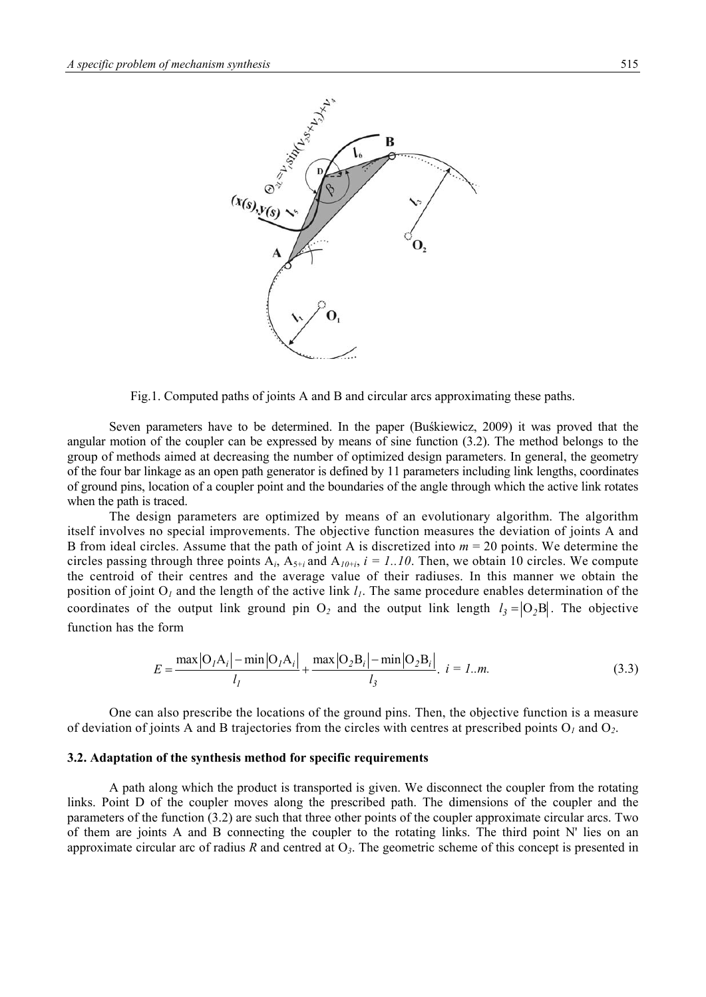

Fig.1. Computed paths of joints A and B and circular arcs approximating these paths.

 Seven parameters have to be determined. In the paper (Buśkiewicz, 2009) it was proved that the angular motion of the coupler can be expressed by means of sine function (3.2). The method belongs to the group of methods aimed at decreasing the number of optimized design parameters. In general, the geometry of the four bar linkage as an open path generator is defined by 11 parameters including link lengths, coordinates of ground pins, location of a coupler point and the boundaries of the angle through which the active link rotates when the path is traced.

 The design parameters are optimized by means of an evolutionary algorithm. The algorithm itself involves no special improvements. The objective function measures the deviation of joints A and B from ideal circles. Assume that the path of joint A is discretized into *m* = 20 points. We determine the circles passing through three points  $A_i$ ,  $A_{5+i}$  and  $A_{10+i}$ ,  $i = 1..10$ . Then, we obtain 10 circles. We compute the centroid of their centres and the average value of their radiuses. In this manner we obtain the position of joint O<sub>1</sub> and the length of the active link  $l_1$ . The same procedure enables determination of the coordinates of the output link ground pin  $O_2$  and the output link length  $l_3 = |O_2B|$ . The objective function has the form

$$
E = \frac{\max|O_{I}A_{i}| - \min|O_{I}A_{i}|}{l_{I}} + \frac{\max|O_{2}B_{i}| - \min|O_{2}B_{i}|}{l_{3}}. \quad i = 1..m.
$$
 (3.3)

 One can also prescribe the locations of the ground pins. Then, the objective function is a measure of deviation of joints A and B trajectories from the circles with centres at prescribed points O*1* and O*2*.

#### **3.2. Adaptation of the synthesis method for specific requirements**

 A path along which the product is transported is given. We disconnect the coupler from the rotating links. Point D of the coupler moves along the prescribed path. The dimensions of the coupler and the parameters of the function (3.2) are such that three other points of the coupler approximate circular arcs. Two of them are joints A and B connecting the coupler to the rotating links. The third point N' lies on an approximate circular arc of radius *R* and centred at O*3*. The geometric scheme of this concept is presented in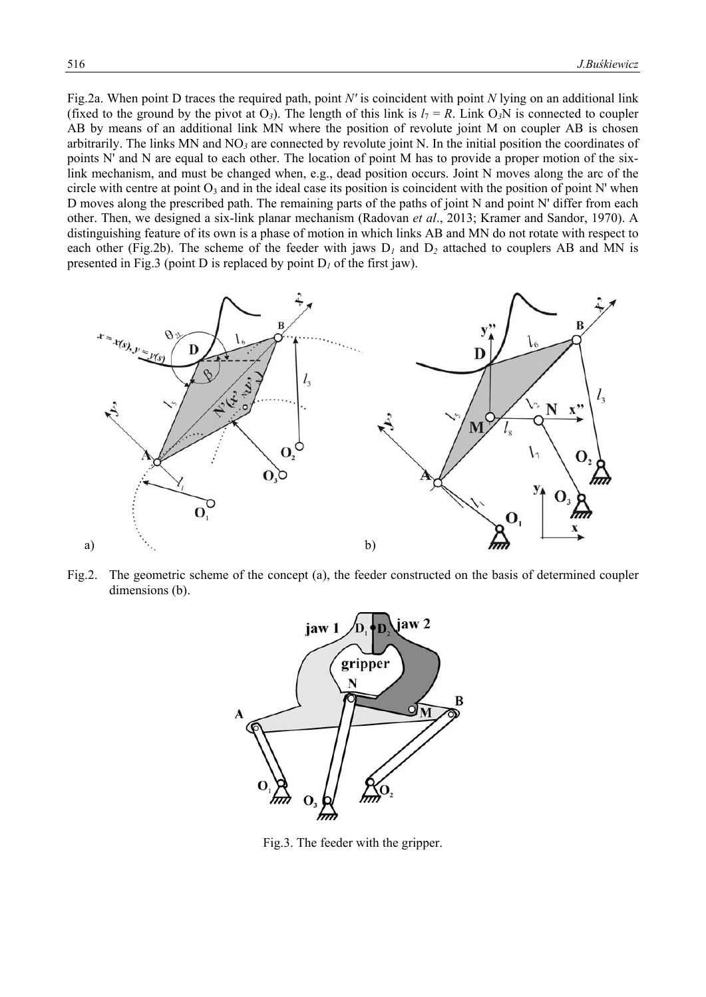Fig.2a. When point D traces the required path, point *N'* is coincident with point *N* lying on an additional link (fixed to the ground by the pivot at  $O_3$ ). The length of this link is  $l_7 = R$ . Link  $O_3N$  is connected to coupler AB by means of an additional link MN where the position of revolute joint M on coupler AB is chosen arbitrarily. The links MN and NO*<sup>3</sup>* are connected by revolute joint N. In the initial position the coordinates of points N' and N are equal to each other. The location of point M has to provide a proper motion of the sixlink mechanism, and must be changed when, e.g., dead position occurs. Joint N moves along the arc of the circle with centre at point  $O_3$  and in the ideal case its position is coincident with the position of point N' when D moves along the prescribed path. The remaining parts of the paths of joint N and point N' differ from each other. Then, we designed a six-link planar mechanism (Radovan *et al*., 2013; Kramer and Sandor, 1970). A distinguishing feature of its own is a phase of motion in which links AB and MN do not rotate with respect to each other (Fig.2b). The scheme of the feeder with jaws  $D_1$  and  $D_2$  attached to couplers AB and MN is presented in Fig.3 (point D is replaced by point  $D<sub>I</sub>$  of the first jaw).



Fig.2. The geometric scheme of the concept (a), the feeder constructed on the basis of determined coupler dimensions (b).



Fig.3. The feeder with the gripper.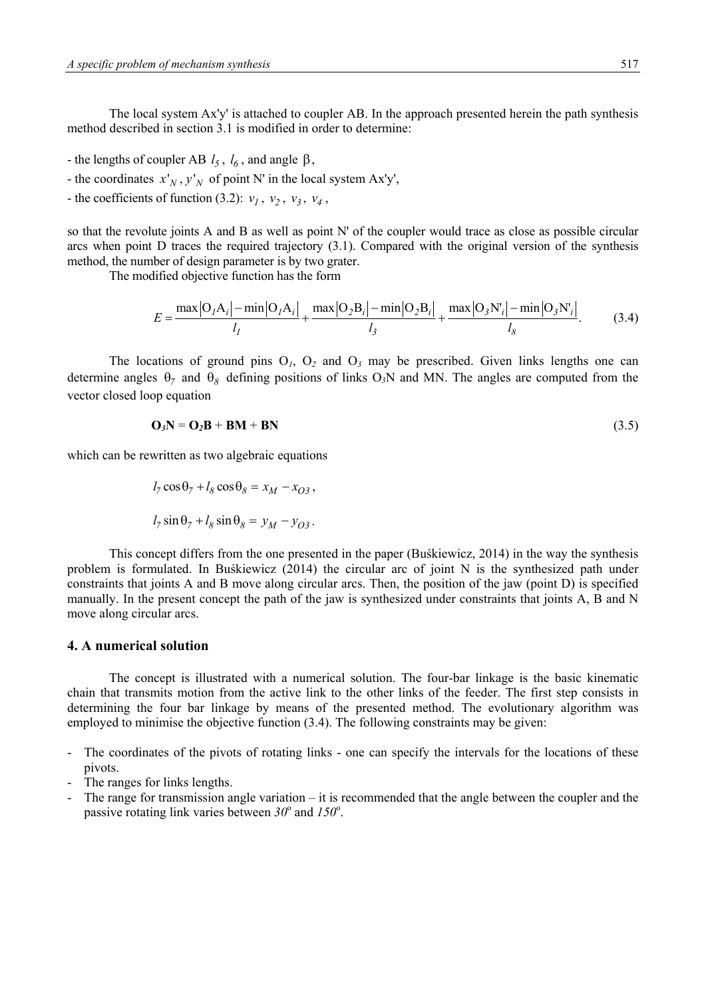The local system Ax'y' is attached to coupler AB. In the approach presented herein the path synthesis method described in section 3.1 is modified in order to determine:

- the lengths of coupler AB  $l_5$ ,  $l_6$ , and angle  $\beta$ ,
- the coordinates  $x'_{N}$ ,  $y'_{N}$  of point N' in the local system Ax'y',
- the coefficients of function (3.2):  $v_1$ ,  $v_2$ ,  $v_3$ ,  $v_4$ ,

so that the revolute joints A and B as well as point N' of the coupler would trace as close as possible circular arcs when point D traces the required trajectory (3.1). Compared with the original version of the synthesis method, the number of design parameter is by two grater.

The modified objective function has the form

$$
E = \frac{\max|O_{I}A_{i}| - \min|O_{I}A_{i}|}{l_{I}} + \frac{\max|O_{2}B_{i}| - \min|O_{2}B_{i}|}{l_{3}} + \frac{\max|O_{3}N_{i}| - \min|O_{3}N_{i}|}{l_{8}}.
$$
 (3.4)

The locations of ground pins  $O<sub>1</sub>$ ,  $O<sub>2</sub>$  and  $O<sub>3</sub>$  may be prescribed. Given links lengths one can determine angles  $\theta_7$  and  $\theta_8$  defining positions of links O<sub>3</sub>N and MN. The angles are computed from the vector closed loop equation

$$
\mathbf{O}_3 \mathbf{N} = \mathbf{O}_2 \mathbf{B} + \mathbf{B} \mathbf{M} + \mathbf{B} \mathbf{N} \tag{3.5}
$$

which can be rewritten as two algebraic equations

$$
l_7 \cos \theta_7 + l_8 \cos \theta_8 = x_M - x_{O3},
$$
  

$$
l_7 \sin \theta_7 + l_8 \sin \theta_8 = y_M - y_{O3}.
$$

 This concept differs from the one presented in the paper (Buśkiewicz, 2014) in the way the synthesis problem is formulated. In Buśkiewicz (2014) the circular arc of joint N is the synthesized path under constraints that joints A and B move along circular arcs. Then, the position of the jaw (point D) is specified manually. In the present concept the path of the jaw is synthesized under constraints that joints A, B and N move along circular arcs.

## **4. A numerical solution**

 The concept is illustrated with a numerical solution. The four-bar linkage is the basic kinematic chain that transmits motion from the active link to the other links of the feeder. The first step consists in determining the four bar linkage by means of the presented method. The evolutionary algorithm was employed to minimise the objective function (3.4). The following constraints may be given:

- The coordinates of the pivots of rotating links one can specify the intervals for the locations of these pivots.
- The ranges for links lengths.
- The range for transmission angle variation it is recommended that the angle between the coupler and the passive rotating link varies between  $30^{\circ}$  and  $150^{\circ}$ .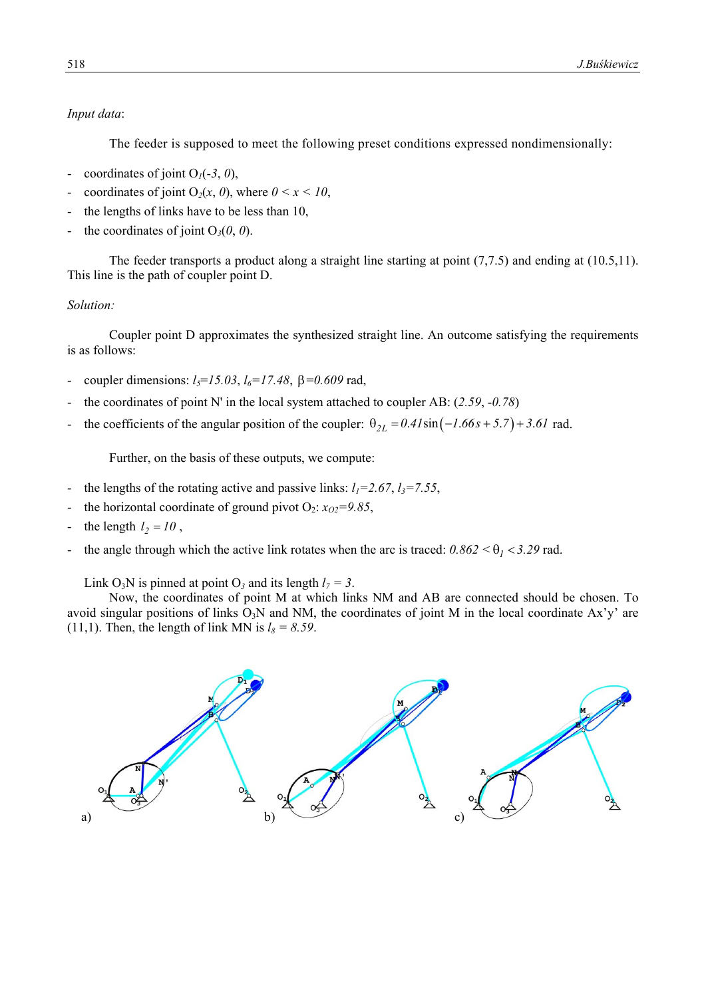# *Input data*:

The feeder is supposed to meet the following preset conditions expressed nondimensionally:

- coordinates of joint  $O_1(-3, 0)$ ,
- coordinates of joint  $O_2(x, 0)$ , where  $0 \le x \le 10$ ,
- the lengths of links have to be less than 10,
- the coordinates of joint  $O_3(0, 0)$ .

 The feeder transports a product along a straight line starting at point (7,7.5) and ending at (10.5,11). This line is the path of coupler point D.

# *Solution:*

 Coupler point D approximates the synthesized straight line. An outcome satisfying the requirements is as follows:

- coupler dimensions:  $l_5 = 15.03$ ,  $l_6 = 17.48$ ,  $\beta = 0.609$  rad,
- the coordinates of point N' in the local system attached to coupler AB: (2.59, -0.78)
- the coefficients of the angular position of the coupler:  $\theta_{2L} = 0.4I\sin(-I.66s + 5.7) + 3.6I$  rad.

Further, on the basis of these outputs, we compute:

- the lengths of the rotating active and passive links:  $l_1 = 2.67$ ,  $l_3 = 7.55$ ,
- the horizontal coordinate of ground pivot  $O_2$ :  $x_{O2} = 9.85$ ,
- the length  $l_2 = 10$ ,
- the angle through which the active link rotates when the arc is traced:  $0.862 < \theta_1 < 3.29$  rad.

Link  $O_3N$  is pinned at point  $O_3$  and its length  $l_7 = 3$ .

 Now, the coordinates of point M at which links NM and AB are connected should be chosen. To avoid singular positions of links  $O<sub>3</sub>N$  and NM, the coordinates of joint M in the local coordinate Ax'y' are (11,1). Then, the length of link MN is  $l_8 = 8.59$ .

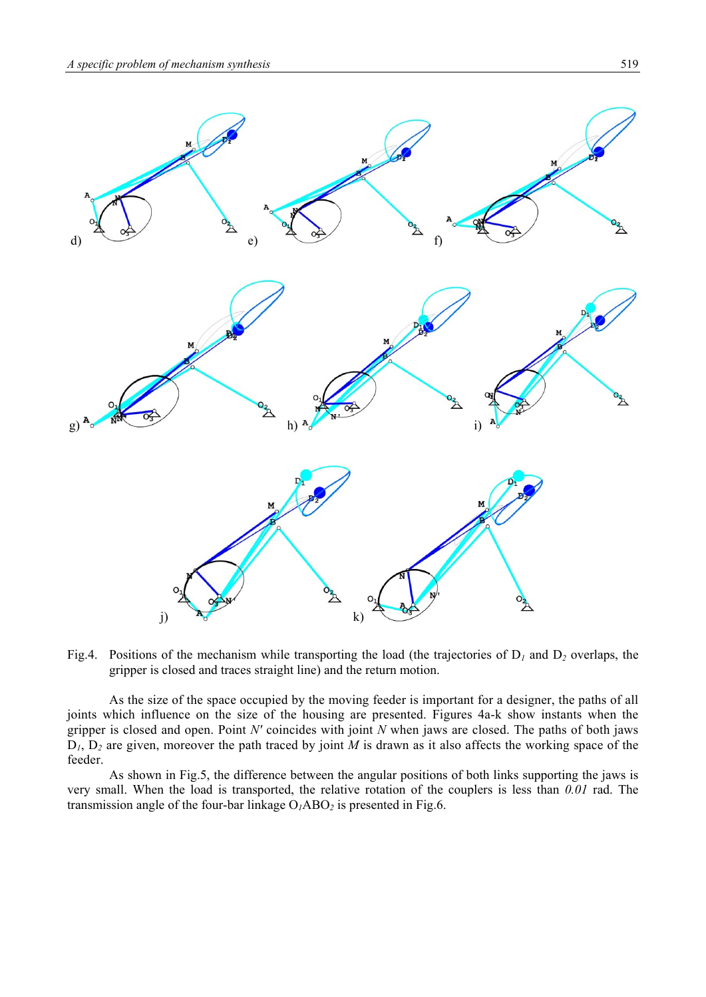

Fig.4. Positions of the mechanism while transporting the load (the trajectories of D*1* and D*<sup>2</sup>* overlaps, the gripper is closed and traces straight line) and the return motion.

 As the size of the space occupied by the moving feeder is important for a designer, the paths of all joints which influence on the size of the housing are presented. Figures 4a-k show instants when the gripper is closed and open. Point *N'* coincides with joint *N* when jaws are closed. The paths of both jaws  $D_1$ ,  $D_2$  are given, moreover the path traced by joint *M* is drawn as it also affects the working space of the feeder.

 As shown in Fig.5, the difference between the angular positions of both links supporting the jaws is very small. When the load is transported, the relative rotation of the couplers is less than *0.01* rad. The transmission angle of the four-bar linkage  $O<sub>I</sub>ABO<sub>2</sub>$  is presented in Fig.6.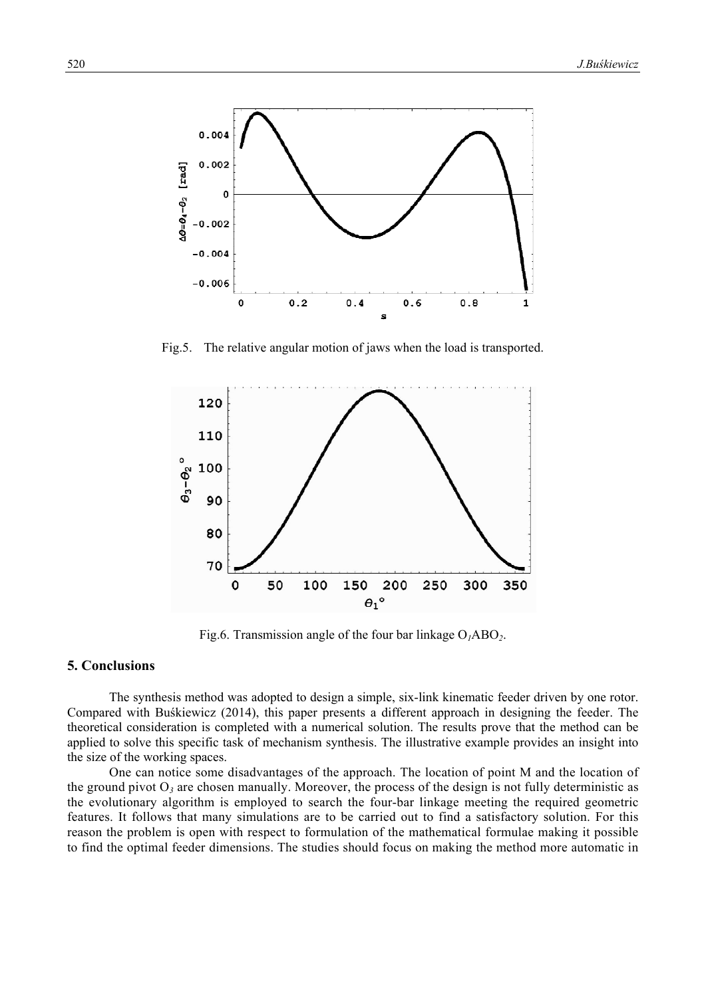

Fig.5. The relative angular motion of jaws when the load is transported.



Fig.6. Transmission angle of the four bar linkage O*1*ABO*2*.

## **5. Conclusions**

 The synthesis method was adopted to design a simple, six-link kinematic feeder driven by one rotor. Compared with Buśkiewicz (2014), this paper presents a different approach in designing the feeder. The theoretical consideration is completed with a numerical solution. The results prove that the method can be applied to solve this specific task of mechanism synthesis. The illustrative example provides an insight into the size of the working spaces.

 One can notice some disadvantages of the approach. The location of point M and the location of the ground pivot  $O_3$  are chosen manually. Moreover, the process of the design is not fully deterministic as the evolutionary algorithm is employed to search the four-bar linkage meeting the required geometric features. It follows that many simulations are to be carried out to find a satisfactory solution. For this reason the problem is open with respect to formulation of the mathematical formulae making it possible to find the optimal feeder dimensions. The studies should focus on making the method more automatic in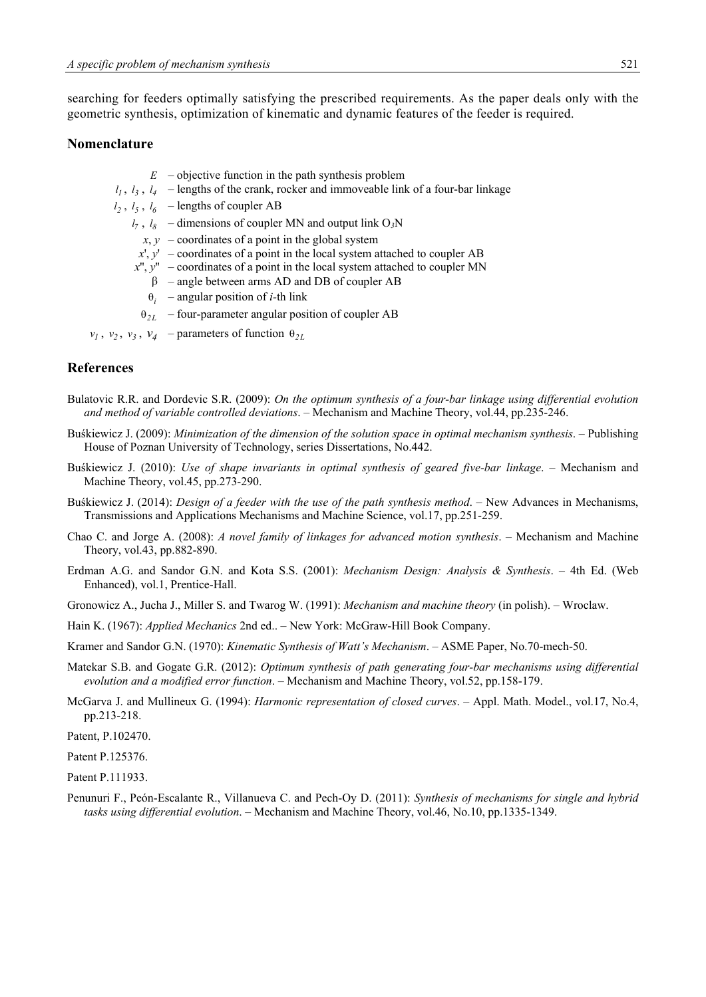searching for feeders optimally satisfying the prescribed requirements. As the paper deals only with the geometric synthesis, optimization of kinematic and dynamic features of the feeder is required.

#### **Nomenclature**

- $E$  objective function in the path synthesis problem
- $l_1$ ,  $l_3$ ,  $l_4$  lengths of the crank, rocker and immoveable link of a four-bar linkage
- $l_2$ ,  $l_5$ ,  $l_6$  lengths of coupler AB
	- $l_7$ ,  $l_8$  dimensions of coupler MN and output link O<sub>3</sub>N
		- $x, y$  coordinates of a point in the global system
	- $x'$ ,  $y'$  coordinates of a point in the local system attached to coupler AB
	- *x*'', *y*'' coordinates of a point in the local system attached to coupler MN
		- $\beta$  angle between arms AD and DB of coupler AB
		- $\theta_i$  angular position of *i*-th link
	- $\theta_{2L}$  four-parameter angular position of coupler AB

 $v_1$ ,  $v_2$ ,  $v_3$ ,  $v_4$  – parameters of function  $\theta_{2L}$ 

#### **References**

- Bulatovic R.R. and Dordevic S.R. (2009): *On the optimum synthesis of a four-bar linkage using differential evolution and method of variable controlled deviations*. – Mechanism and Machine Theory, vol.44, pp.235-246.
- Buśkiewicz J. (2009): *Minimization of the dimension of the solution space in optimal mechanism synthesis*. Publishing House of Poznan University of Technology, series Dissertations, No.442.
- Buśkiewicz J. (2010): *Use of shape invariants in optimal synthesis of geared five-bar linkage*. Mechanism and Machine Theory, vol.45, pp.273-290.
- Buśkiewicz J. (2014): *Design of a feeder with the use of the path synthesis method*. New Advances in Mechanisms, Transmissions and Applications Mechanisms and Machine Science, vol.17, pp.251-259.
- Chao C. and Jorge A. (2008): *A novel family of linkages for advanced motion synthesis*. Mechanism and Machine Theory, vol.43, pp.882-890.
- Erdman A.G. and Sandor G.N. and Kota S.S. (2001): *Mechanism Design: Analysis & Synthesis*. 4th Ed. (Web Enhanced), vol.1, Prentice-Hall.
- Gronowicz A., Jucha J., Miller S. and Twarog W. (1991): *Mechanism and machine theory* (in polish). Wroclaw.
- Hain K. (1967): *Applied Mechanics* 2nd ed.. New York: McGraw-Hill Book Company.

Kramer and Sandor G.N. (1970): *Kinematic Synthesis of Watt's Mechanism*. – ASME Paper, No.70-mech-50.

- Matekar S.B. and Gogate G.R. (2012): *Optimum synthesis of path generating four-bar mechanisms using differential evolution and a modified error function*. – Mechanism and Machine Theory, vol.52, pp.158-179.
- McGarva J. and Mullineux G. (1994): *Harmonic representation of closed curves*. Appl. Math. Model., vol.17, No.4, pp.213-218.

Patent, P.102470.

Patent P.125376.

Patent P.111933.

Penunuri F., Peón-Escalante R., Villanueva C. and Pech-Oy D. (2011): *Synthesis of mechanisms for single and hybrid tasks using differential evolution*. – Mechanism and Machine Theory, vol.46, No.10, pp.1335-1349.